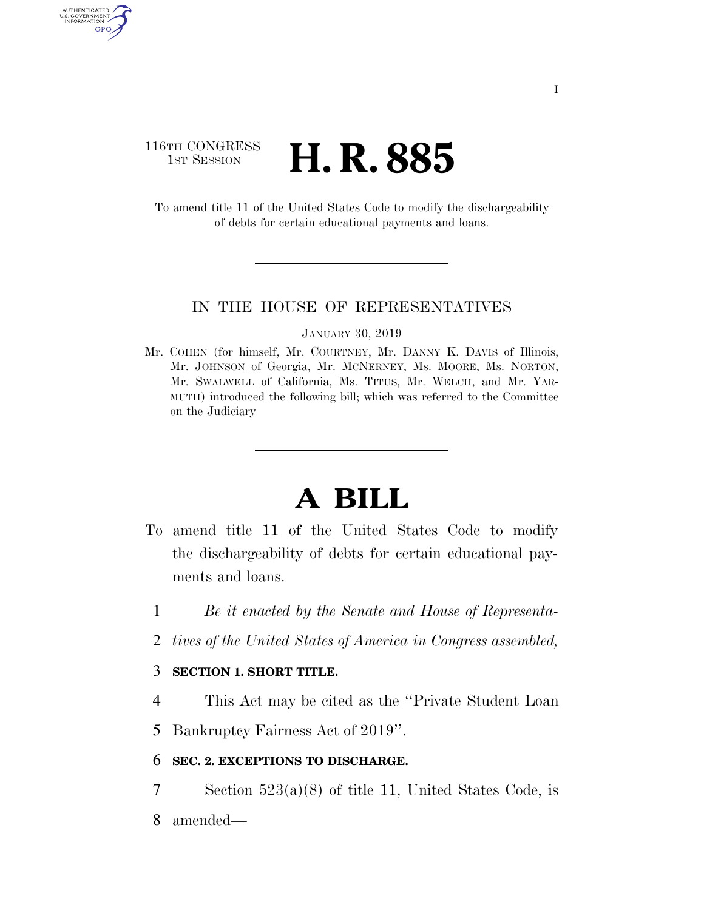## 116TH CONGRESS **1st Session H. R. 885**

AUTHENTICATED U.S. GOVERNMENT GPO

> To amend title 11 of the United States Code to modify the dischargeability of debts for certain educational payments and loans.

### IN THE HOUSE OF REPRESENTATIVES

#### JANUARY 30, 2019

Mr. COHEN (for himself, Mr. COURTNEY, Mr. DANNY K. DAVIS of Illinois, Mr. JOHNSON of Georgia, Mr. MCNERNEY, Ms. MOORE, Ms. NORTON, Mr. SWALWELL of California, Ms. TITUS, Mr. WELCH, and Mr. YAR-MUTH) introduced the following bill; which was referred to the Committee on the Judiciary

# **A BILL**

- To amend title 11 of the United States Code to modify the dischargeability of debts for certain educational payments and loans.
	- 1 *Be it enacted by the Senate and House of Representa-*
	- 2 *tives of the United States of America in Congress assembled,*

### 3 **SECTION 1. SHORT TITLE.**

- 4 This Act may be cited as the ''Private Student Loan
- 5 Bankruptcy Fairness Act of 2019''.

### 6 **SEC. 2. EXCEPTIONS TO DISCHARGE.**

7 Section 523(a)(8) of title 11, United States Code, is 8 amended—